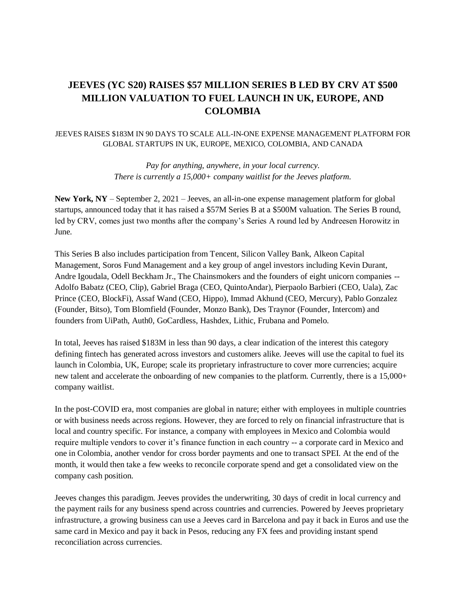## **JEEVES (YC S20) RAISES \$57 MILLION SERIES B LED BY CRV AT \$500 MILLION VALUATION TO FUEL LAUNCH IN UK, EUROPE, AND COLOMBIA**

## JEEVES RAISES \$183M IN 90 DAYS TO SCALE ALL-IN-ONE EXPENSE MANAGEMENT PLATFORM FOR GLOBAL STARTUPS IN UK, EUROPE, MEXICO, COLOMBIA, AND CANADA

*Pay for anything, anywhere, in your local currency. There is currently a 15,000+ company waitlist for the Jeeves platform.*

**New York, NY** – September 2, 2021 – Jeeves, an all-in-one expense management platform for global startups, announced today that it has raised a \$57M Series B at a \$500M valuation. The Series B round, led by CRV, comes just two months after the company's Series A round led by Andreesen Horowitz in June.

This Series B also includes participation from Tencent, Silicon Valley Bank, Alkeon Capital Management, Soros Fund Management and a key group of angel investors including Kevin Durant, Andre Igoudala, Odell Beckham Jr., The Chainsmokers and the founders of eight unicorn companies -- Adolfo Babatz (CEO, Clip), Gabriel Braga (CEO, QuintoAndar), Pierpaolo Barbieri (CEO, Uala), Zac Prince (CEO, BlockFi), Assaf Wand (CEO, Hippo), Immad Akhund (CEO, Mercury), Pablo Gonzalez (Founder, Bitso), Tom Blomfield (Founder, Monzo Bank), Des Traynor (Founder, Intercom) and founders from UiPath, Auth0, GoCardless, Hashdex, Lithic, Frubana and Pomelo.

In total, Jeeves has raised \$183M in less than 90 days, a clear indication of the interest this category defining fintech has generated across investors and customers alike. Jeeves will use the capital to fuel its launch in Colombia, UK, Europe; scale its proprietary infrastructure to cover more currencies; acquire new talent and accelerate the onboarding of new companies to the platform. Currently, there is a 15,000+ company waitlist.

In the post-COVID era, most companies are global in nature; either with employees in multiple countries or with business needs across regions. However, they are forced to rely on financial infrastructure that is local and country specific. For instance, a company with employees in Mexico and Colombia would require multiple vendors to cover it's finance function in each country -- a corporate card in Mexico and one in Colombia, another vendor for cross border payments and one to transact SPEI. At the end of the month, it would then take a few weeks to reconcile corporate spend and get a consolidated view on the company cash position.

Jeeves changes this paradigm. Jeeves provides the underwriting, 30 days of credit in local currency and the payment rails for any business spend across countries and currencies. Powered by Jeeves proprietary infrastructure, a growing business can use a Jeeves card in Barcelona and pay it back in Euros and use the same card in Mexico and pay it back in Pesos, reducing any FX fees and providing instant spend reconciliation across currencies.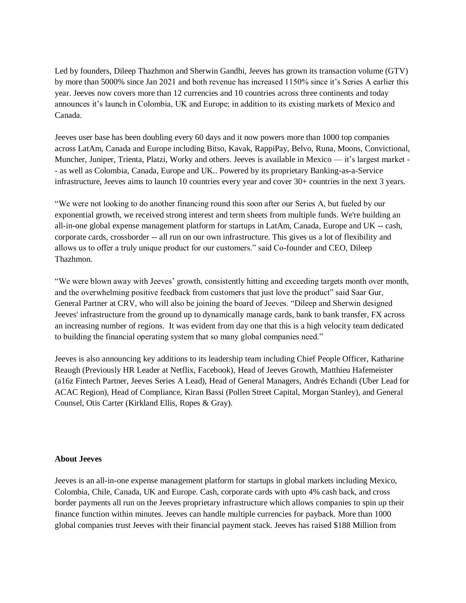Led by founders, Dileep Thazhmon and Sherwin Gandhi, Jeeves has grown its transaction volume (GTV) by more than 5000% since Jan 2021 and both revenue has increased 1150% since it's Series A earlier this year. Jeeves now covers more than 12 currencies and 10 countries across three continents and today announces it's launch in Colombia, UK and Europe; in addition to its existing markets of Mexico and Canada.

Jeeves user base has been doubling every 60 days and it now powers more than 1000 top companies across LatAm, Canada and Europe including Bitso, Kavak, RappiPay, Belvo, Runa, Moons, Convictional, Muncher, Juniper, Trienta, Platzi, Worky and others. Jeeves is available in Mexico — it's largest market - - as well as Colombia, Canada, Europe and UK.. Powered by its proprietary Banking-as-a-Service infrastructure, Jeeves aims to launch 10 countries every year and cover 30+ countries in the next 3 years.

"We were not looking to do another financing round this soon after our Series A, but fueled by our exponential growth, we received strong interest and term sheets from multiple funds. We're building an all-in-one global expense management platform for startups in LatAm, Canada, Europe and UK -- cash, corporate cards, crossborder -- all run on our own infrastructure. This gives us a lot of flexibility and allows us to offer a truly unique product for our customers." said Co-founder and CEO, Dileep Thazhmon.

"We were blown away with Jeeves' growth, consistently hitting and exceeding targets month over month, and the overwhelming positive feedback from customers that just love the product" said Saar Gur, General Partner at CRV, who will also be joining the board of Jeeves. "Dileep and Sherwin designed Jeeves' infrastructure from the ground up to dynamically manage cards, bank to bank transfer, FX across an increasing number of regions. It was evident from day one that this is a high velocity team dedicated to building the financial operating system that so many global companies need."

Jeeves is also announcing key additions to its leadership team including Chief People Officer, Katharine Reaugh (Previously HR Leader at Netflix, Facebook), Head of Jeeves Growth, Matthieu Hafemeister (a16z Fintech Partner, Jeeves Series A Lead), Head of General Managers, Andrés Echandi (Uber Lead for ACAC Region), Head of Compliance, Kiran Bassi (Pollen Street Capital, Morgan Stanley), and General Counsel, Otis Carter (Kirkland Ellis, Ropes & Gray).

## **About Jeeves**

Jeeves is an all-in-one expense management platform for startups in global markets including Mexico, Colombia, Chile, Canada, UK and Europe. Cash, corporate cards with upto 4% cash back, and cross border payments all run on the Jeeves proprietary infrastructure which allows companies to spin up their finance function within minutes. Jeeves can handle multiple currencies for payback. More than 1000 global companies trust Jeeves with their financial payment stack. Jeeves has raised \$188 Million from